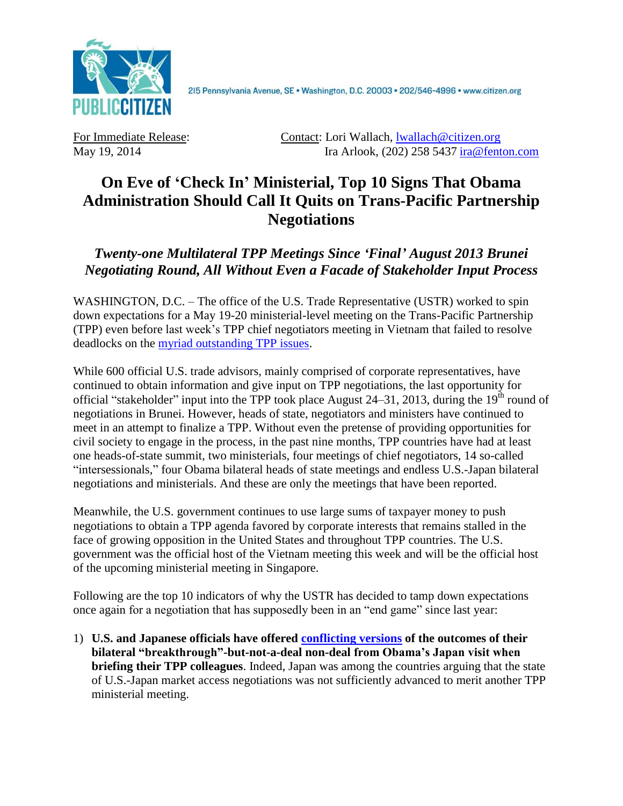

2I5 Pennsylvania Avenue, SE · Washington, D.C. 20003 · 202/546-4996 · www.citizen.org

For Immediate Release: Contact: Lori Wallach, [lwallach@citizen.org](mailto:lwallach@citizen.org) May 19, 2014 Ira Arlook, (202) 258 5437 [ira@fenton.com](mailto:ira@fenton.com)

## **On Eve of 'Check In' Ministerial, Top 10 Signs That Obama Administration Should Call It Quits on Trans-Pacific Partnership Negotiations**

*Twenty-one Multilateral TPP Meetings Since 'Final' August 2013 Brunei Negotiating Round, All Without Even a Facade of Stakeholder Input Process*

WASHINGTON, D.C. – The office of the U.S. Trade Representative (USTR) worked to spin down expectations for a May 19-20 ministerial-level meeting on the Trans-Pacific Partnership (TPP) even before last week's TPP chief negotiators meeting in Vietnam that failed to resolve deadlocks on the [myriad outstanding TPP issues.](http://citizen.typepad.com/eyesontrade/2014/04/administration-desperate-to-announce-breakthrough-on-tpp-in-japan-but-congress-not-buying-economic-o.html)

While 600 official U.S. trade advisors, mainly comprised of corporate representatives, have continued to obtain information and give input on TPP negotiations, the last opportunity for official "stakeholder" input into the TPP took place August 24–31, 2013, during the  $19<sup>th</sup>$  round of negotiations in Brunei. However, heads of state, negotiators and ministers have continued to meet in an attempt to finalize a TPP. Without even the pretense of providing opportunities for civil society to engage in the process, in the past nine months, TPP countries have had at least one heads-of-state summit, two ministerials, four meetings of chief negotiators, 14 so-called "intersessionals," four Obama bilateral heads of state meetings and endless U.S.-Japan bilateral negotiations and ministerials. And these are only the meetings that have been reported.

Meanwhile, the U.S. government continues to use large sums of taxpayer money to push negotiations to obtain a TPP agenda favored by corporate interests that remains stalled in the face of growing opposition in the United States and throughout TPP countries. The U.S. government was the official host of the Vietnam meeting this week and will be the official host of the upcoming ministerial meeting in Singapore.

Following are the top 10 indicators of why the USTR has decided to tamp down expectations once again for a negotiation that has supposedly been in an "end game" since last year:

1) **U.S. and Japanese officials have offered [conflicting versions](http://ajw.asahi.com/article/behind_news/politics/AJ201404260036) of the outcomes of their bilateral "breakthrough"-but-not-a-deal non-deal from Obama's Japan visit when briefing their TPP colleagues**. Indeed, Japan was among the countries arguing that the state of U.S.-Japan market access negotiations was not sufficiently advanced to merit another TPP ministerial meeting.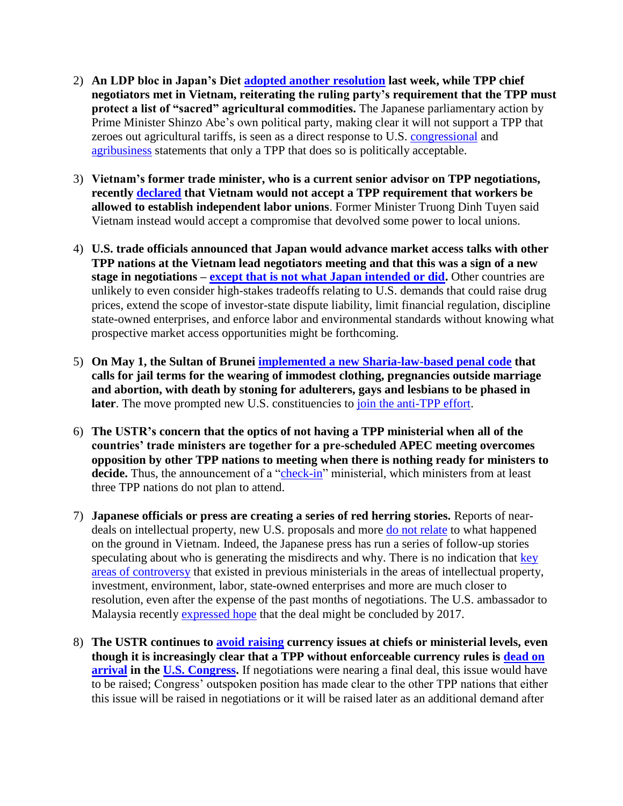- 2) **An LDP bloc in Japan's Diet adopted [another resolution](http://sankei.jp.msn.com/politics/news/140513/plc14051321000020-n1.htm) last week, while TPP chief negotiators met in Vietnam, reiterating the ruling party's requirement that the TPP must protect a list of "sacred" agricultural commodities.** The Japanese parliamentary action by Prime Minister Shinzo Abe's own political party, making clear it will not support a TPP that zeroes out agricultural tariffs, is seen as a direct response to U.S. [congressional](http://www.citizen.org/documents/TPP-market-access-letter.pdf) and [agribusiness](http://www.nppc.org/2014/04/japan-must-eliminate-tariffs-says-nppc/) statements that only a TPP that does so is politically acceptable.
- 3) **Vietnam's former trade minister, who is a current senior advisor on TPP negotiations, recently [declared](http://thanhniennews.com/business/govt-official-says-vietnam-needs-to-compromise-for-trade-deals-25098.html) that Vietnam would not accept a TPP requirement that workers be allowed to establish independent labor unions**. Former Minister Truong Dinh Tuyen said Vietnam instead would accept a compromise that devolved some power to local unions.
- 4) **U.S. trade officials announced that Japan would advance market access talks with other TPP nations at the Vietnam lead negotiators meeting and that this was a sign of a new stage in negotiations – [except that is not what Japan intended or did.](http://www.reuters.com/article/2014/05/14/usa-trade-tpp-idUSL1N0NZ21M20140514)** Other countries are unlikely to even consider high-stakes tradeoffs relating to U.S. demands that could raise drug prices, extend the scope of investor-state dispute liability, limit financial regulation, discipline state-owned enterprises, and enforce labor and environmental standards without knowing what prospective market access opportunities might be forthcoming.
- 5) **On May 1, the Sultan of Brunei implemented [a new Sharia-law-based penal code](http://www.theguardian.com/world/2014/apr/30/sultan-brunei-sharia-penal-code-flogging-death-stoning) that calls for jail terms for the wearing of immodest clothing, pregnancies outside marriage and abortion, with death by stoning for adulterers, gays and lesbians to be phased in later**. The move prompted new U.S. constituencies to join the [anti-TPP effort.](http://teamsternation.blogspot.com/2014/05/jay-leno-joins-fight-against-tpp.html)
- 6) **The USTR's concern that the optics of not having a TPP ministerial when all of the countries' trade ministers are together for a pre-scheduled APEC meeting overcomes opposition by other TPP nations to meeting when there is nothing ready for ministers to**  decide. Thus, the announcement of a ["check-in"](http://www.globalpost.com/dispatch/news/kyodo-news-international/140516/tpp-ministers-seek-progress-singapore-deal-unlikely) ministerial, which ministers from at least three TPP nations do not plan to attend.
- 7) **Japanese officials or press are creating a series of red herring stories.** Reports of neardeals on intellectual property, new U.S. proposals and more [do not relate](http://www3.nhk.or.jp/nhkworld/english/news/20140516_16.html) to what happened on the ground in Vietnam. Indeed, the Japanese press has run a series of follow-up stories speculating about who is generating the misdirects and why. There is no indication that key [areas of controversy](http://citizen.typepad.com/eyesontrade/2014/04/administration-desperate-to-announce-breakthrough-on-tpp-in-japan-but-congress-not-buying-economic-o.html) that existed in previous ministerials in the areas of intellectual property, investment, environment, labor, state-owned enterprises and more are much closer to resolution, even after the expense of the past months of negotiations. The U.S. ambassador to Malaysia recently [expressed hope](http://www.turkishpress.com/news/404116/) that the deal might be concluded by 2017.
- 8) **The USTR continues to [avoid raising](http://www.huffingtonpost.com/2014/05/01/obama-tpp_n_5249262.html) currency issues at chiefs or ministerial levels, even though it is increasingly clear that a TPP without enforceable currency rules is [dead on](http://bigstory.ap.org/article/us-senators-voice-doubts-obama-trade-agenda)  [arrival](http://bigstory.ap.org/article/us-senators-voice-doubts-obama-trade-agenda) in the [U.S. Congress.](http://michaud.house.gov/sites/michaud.house.gov/files/20140509135326990.pdf)** If negotiations were nearing a final deal, this issue would have to be raised; Congress' outspoken position has made clear to the other TPP nations that either this issue will be raised in negotiations or it will be raised later as an additional demand after